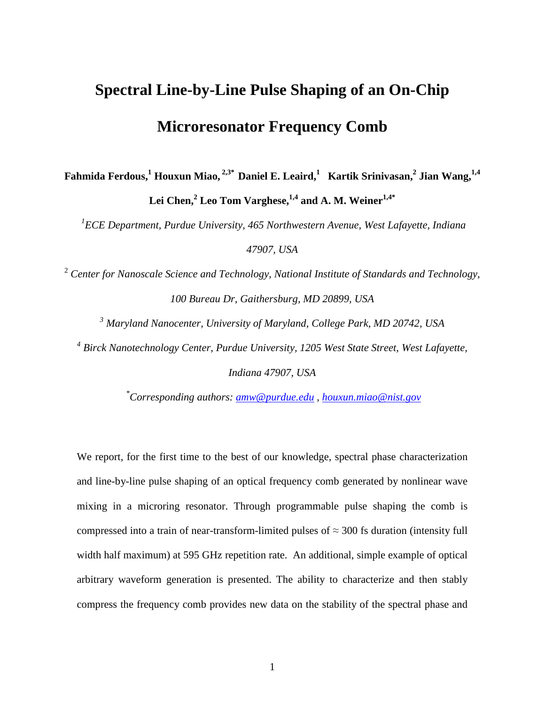## **Spectral Line-by-Line Pulse Shaping of an On-Chip Microresonator Frequency Comb**

**Fahmida Ferdous,<sup>1</sup> Houxun Miao, 2,3\* Daniel E. Leaird,<sup>1</sup>Kartik Srinivasan,<sup>2</sup> Jian Wang,1,4 Lei Chen,<sup>2</sup> Leo Tom Varghese,1,4 and A. M. Weiner1,4\*** 

*1 ECE Department, Purdue University, 465 Northwestern Avenue, West Lafayette, Indiana 47907, USA* 

<sup>2</sup> Center for Nanoscale Science and Technology, National Institute of Standards and Technology, *100 Bureau Dr, Gaithersburg, MD 20899, USA* 

*3 Maryland Nanocenter, University of Maryland, College Park, MD 20742, USA*  <sup>4</sup> Birck Nanotechnology Center, Purdue University, 1205 West State Street, West Lafayette,

*Indiana 47907, USA* 

*\*Corresponding authors: amw@purdue.edu , houxun.miao@nist.gov*

We report, for the first time to the best of our knowledge, spectral phase characterization and line-by-line pulse shaping of an optical frequency comb generated by nonlinear wave mixing in a microring resonator. Through programmable pulse shaping the comb is compressed into a train of near-transform-limited pulses of  $\approx$  300 fs duration (intensity full width half maximum) at 595 GHz repetition rate. An additional, simple example of optical arbitrary waveform generation is presented. The ability to characterize and then stably compress the frequency comb provides new data on the stability of the spectral phase and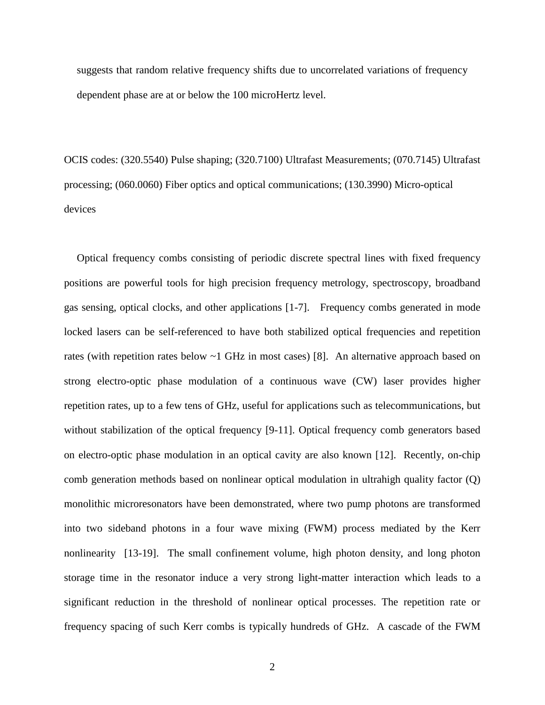suggests that random relative frequency shifts due to uncorrelated variations of frequency dependent phase are at or below the 100 microHertz level.

OCIS codes: (320.5540) Pulse shaping; (320.7100) Ultrafast Measurements; (070.7145) Ultrafast processing; (060.0060) Fiber optics and optical communications; (130.3990) Micro-optical devices

Optical frequency combs consisting of periodic discrete spectral lines with fixed frequency positions are powerful tools for high precision frequency metrology, spectroscopy, broadband gas sensing, optical clocks, and other applications [1-7]. Frequency combs generated in mode locked lasers can be self-referenced to have both stabilized optical frequencies and repetition rates (with repetition rates below  $\sim$ 1 GHz in most cases) [8]. An alternative approach based on strong electro-optic phase modulation of a continuous wave (CW) laser provides higher repetition rates, up to a few tens of GHz, useful for applications such as telecommunications, but without stabilization of the optical frequency [9-11]. Optical frequency comb generators based on electro-optic phase modulation in an optical cavity are also known [12]. Recently, on-chip comb generation methods based on nonlinear optical modulation in ultrahigh quality factor (Q) monolithic microresonators have been demonstrated, where two pump photons are transformed into two sideband photons in a four wave mixing (FWM) process mediated by the Kerr nonlinearity [13-19]. The small confinement volume, high photon density, and long photon storage time in the resonator induce a very strong light-matter interaction which leads to a significant reduction in the threshold of nonlinear optical processes. The repetition rate or frequency spacing of such Kerr combs is typically hundreds of GHz. A cascade of the FWM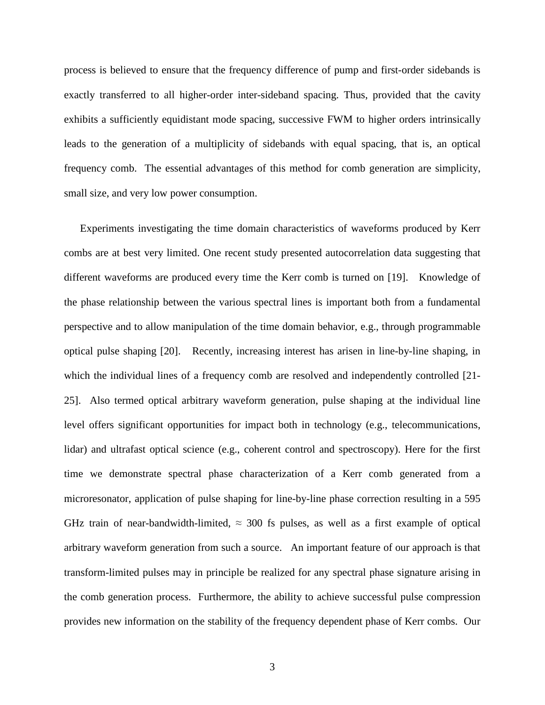process is believed to ensure that the frequency difference of pump and first-order sidebands is exactly transferred to all higher-order inter-sideband spacing. Thus, provided that the cavity exhibits a sufficiently equidistant mode spacing, successive FWM to higher orders intrinsically leads to the generation of a multiplicity of sidebands with equal spacing, that is, an optical frequency comb. The essential advantages of this method for comb generation are simplicity, small size, and very low power consumption.

Experiments investigating the time domain characteristics of waveforms produced by Kerr combs are at best very limited. One recent study presented autocorrelation data suggesting that different waveforms are produced every time the Kerr comb is turned on [19]. Knowledge of the phase relationship between the various spectral lines is important both from a fundamental perspective and to allow manipulation of the time domain behavior, e.g., through programmable optical pulse shaping [20]. Recently, increasing interest has arisen in line-by-line shaping, in which the individual lines of a frequency comb are resolved and independently controlled [21-25]. Also termed optical arbitrary waveform generation, pulse shaping at the individual line level offers significant opportunities for impact both in technology (e.g., telecommunications, lidar) and ultrafast optical science (e.g., coherent control and spectroscopy). Here for the first time we demonstrate spectral phase characterization of a Kerr comb generated from a microresonator, application of pulse shaping for line-by-line phase correction resulting in a 595 GHz train of near-bandwidth-limited,  $\approx$  300 fs pulses, as well as a first example of optical arbitrary waveform generation from such a source. An important feature of our approach is that transform-limited pulses may in principle be realized for any spectral phase signature arising in the comb generation process. Furthermore, the ability to achieve successful pulse compression provides new information on the stability of the frequency dependent phase of Kerr combs. Our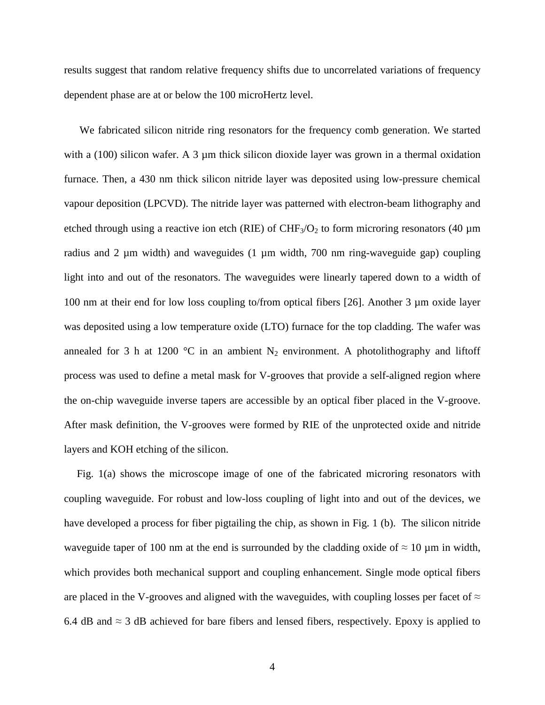results suggest that random relative frequency shifts due to uncorrelated variations of frequency dependent phase are at or below the 100 microHertz level.

 We fabricated silicon nitride ring resonators for the frequency comb generation. We started with a  $(100)$  silicon wafer. A 3  $\mu$ m thick silicon dioxide layer was grown in a thermal oxidation furnace. Then, a 430 nm thick silicon nitride layer was deposited using low-pressure chemical vapour deposition (LPCVD). The nitride layer was patterned with electron-beam lithography and etched through using a reactive ion etch (RIE) of CHF<sub>3</sub>/O<sub>2</sub> to form microring resonators (40  $\mu$ m radius and 2  $\mu$ m width) and waveguides (1  $\mu$ m width, 700 nm ring-waveguide gap) coupling light into and out of the resonators. The waveguides were linearly tapered down to a width of 100 nm at their end for low loss coupling to/from optical fibers [26]. Another 3 µm oxide layer was deposited using a low temperature oxide (LTO) furnace for the top cladding. The wafer was annealed for 3 h at 1200 °C in an ambient  $N_2$  environment. A photolithography and liftoff process was used to define a metal mask for V-grooves that provide a self-aligned region where the on-chip waveguide inverse tapers are accessible by an optical fiber placed in the V-groove. After mask definition, the V-grooves were formed by RIE of the unprotected oxide and nitride layers and KOH etching of the silicon.

Fig. 1(a) shows the microscope image of one of the fabricated microring resonators with coupling waveguide. For robust and low-loss coupling of light into and out of the devices, we have developed a process for fiber pigtailing the chip, as shown in Fig. 1 (b). The silicon nitride waveguide taper of 100 nm at the end is surrounded by the cladding oxide of  $\approx 10 \,\mu$ m in width, which provides both mechanical support and coupling enhancement. Single mode optical fibers are placed in the V-grooves and aligned with the waveguides, with coupling losses per facet of  $\approx$ 6.4 dB and  $\approx$  3 dB achieved for bare fibers and lensed fibers, respectively. Epoxy is applied to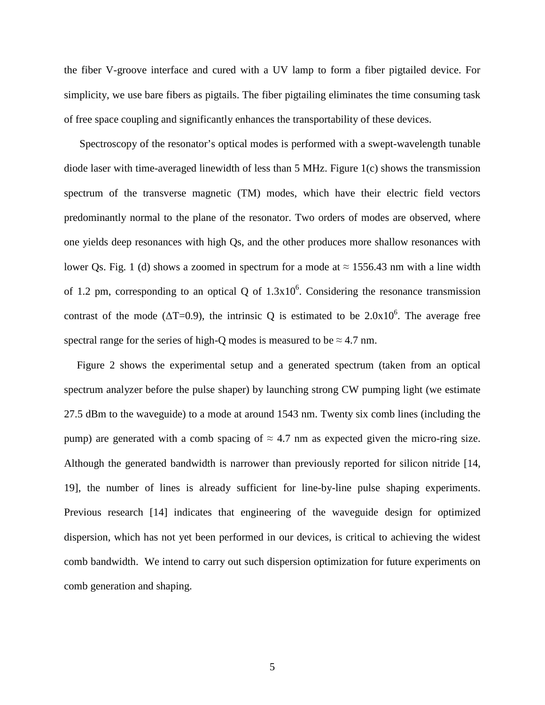the fiber V-groove interface and cured with a UV lamp to form a fiber pigtailed device. For simplicity, we use bare fibers as pigtails. The fiber pigtailing eliminates the time consuming task of free space coupling and significantly enhances the transportability of these devices.

 Spectroscopy of the resonator's optical modes is performed with a swept-wavelength tunable diode laser with time-averaged linewidth of less than 5 MHz. Figure 1(c) shows the transmission spectrum of the transverse magnetic (TM) modes, which have their electric field vectors predominantly normal to the plane of the resonator. Two orders of modes are observed, where one yields deep resonances with high Qs, and the other produces more shallow resonances with lower Qs. Fig. 1 (d) shows a zoomed in spectrum for a mode at  $\approx 1556.43$  nm with a line width of 1.2 pm, corresponding to an optical Q of  $1.3x10^6$ . Considering the resonance transmission contrast of the mode ( $\Delta T$ =0.9), the intrinsic Q is estimated to be 2.0x10<sup>6</sup>. The average free spectral range for the series of high-Q modes is measured to be  $\approx 4.7$  nm.

Figure 2 shows the experimental setup and a generated spectrum (taken from an optical spectrum analyzer before the pulse shaper) by launching strong CW pumping light (we estimate 27.5 dBm to the waveguide) to a mode at around 1543 nm. Twenty six comb lines (including the pump) are generated with a comb spacing of  $\approx 4.7$  nm as expected given the micro-ring size. Although the generated bandwidth is narrower than previously reported for silicon nitride [14, 19], the number of lines is already sufficient for line-by-line pulse shaping experiments. Previous research [14] indicates that engineering of the waveguide design for optimized dispersion, which has not yet been performed in our devices, is critical to achieving the widest comb bandwidth. We intend to carry out such dispersion optimization for future experiments on comb generation and shaping.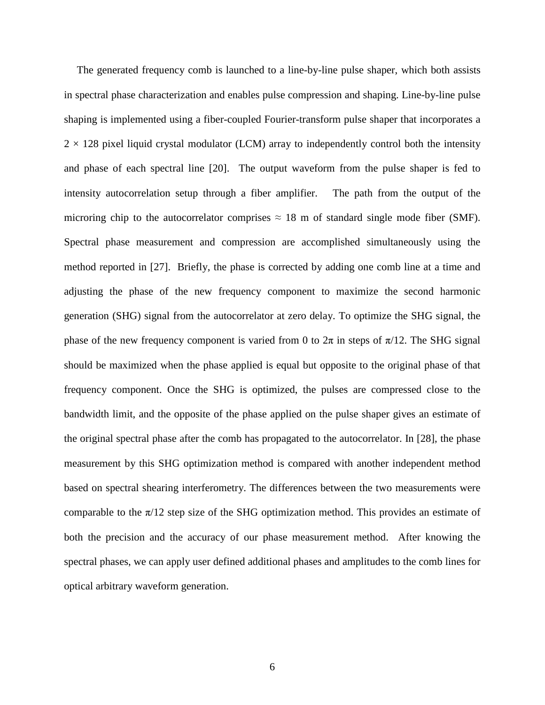The generated frequency comb is launched to a line-by-line pulse shaper, which both assists in spectral phase characterization and enables pulse compression and shaping. Line-by-line pulse shaping is implemented using a fiber-coupled Fourier-transform pulse shaper that incorporates a  $2 \times 128$  pixel liquid crystal modulator (LCM) array to independently control both the intensity and phase of each spectral line [20]. The output waveform from the pulse shaper is fed to intensity autocorrelation setup through a fiber amplifier. The path from the output of the microring chip to the autocorrelator comprises  $\approx 18$  m of standard single mode fiber (SMF). Spectral phase measurement and compression are accomplished simultaneously using the method reported in [27]. Briefly, the phase is corrected by adding one comb line at a time and adjusting the phase of the new frequency component to maximize the second harmonic generation (SHG) signal from the autocorrelator at zero delay. To optimize the SHG signal, the phase of the new frequency component is varied from 0 to  $2\pi$  in steps of  $\pi/12$ . The SHG signal should be maximized when the phase applied is equal but opposite to the original phase of that frequency component. Once the SHG is optimized, the pulses are compressed close to the bandwidth limit, and the opposite of the phase applied on the pulse shaper gives an estimate of the original spectral phase after the comb has propagated to the autocorrelator. In [28], the phase measurement by this SHG optimization method is compared with another independent method based on spectral shearing interferometry. The differences between the two measurements were comparable to the  $\pi/12$  step size of the SHG optimization method. This provides an estimate of both the precision and the accuracy of our phase measurement method. After knowing the spectral phases, we can apply user defined additional phases and amplitudes to the comb lines for optical arbitrary waveform generation.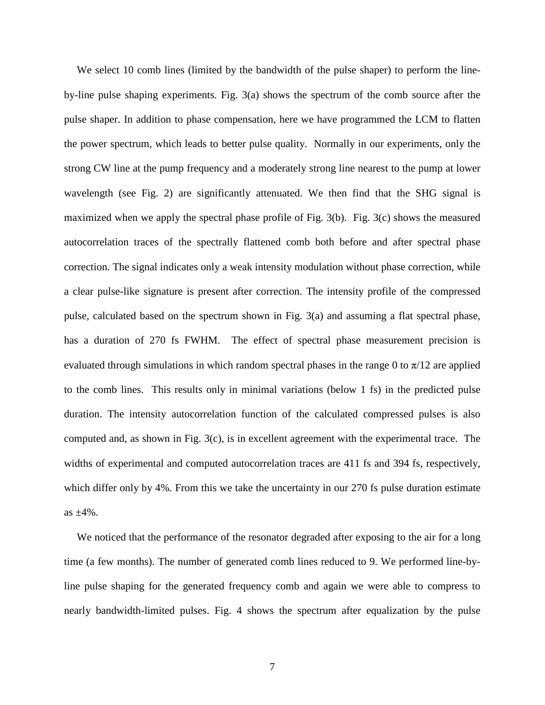We select 10 comb lines (limited by the bandwidth of the pulse shaper) to perform the lineby-line pulse shaping experiments. Fig. 3(a) shows the spectrum of the comb source after the pulse shaper. In addition to phase compensation, here we have programmed the LCM to flatten the power spectrum, which leads to better pulse quality. Normally in our experiments, only the strong CW line at the pump frequency and a moderately strong line nearest to the pump at lower wavelength (see Fig. 2) are significantly attenuated. We then find that the SHG signal is maximized when we apply the spectral phase profile of Fig. 3(b). Fig. 3(c) shows the measured autocorrelation traces of the spectrally flattened comb both before and after spectral phase correction. The signal indicates only a weak intensity modulation without phase correction, while a clear pulse-like signature is present after correction. The intensity profile of the compressed pulse, calculated based on the spectrum shown in Fig. 3(a) and assuming a flat spectral phase, has a duration of 270 fs FWHM. The effect of spectral phase measurement precision is evaluated through simulations in which random spectral phases in the range 0 to  $\pi/12$  are applied to the comb lines. This results only in minimal variations (below 1 fs) in the predicted pulse duration. The intensity autocorrelation function of the calculated compressed pulses is also computed and, as shown in Fig. 3(c), is in excellent agreement with the experimental trace. The widths of experimental and computed autocorrelation traces are 411 fs and 394 fs, respectively, which differ only by 4%. From this we take the uncertainty in our 270 fs pulse duration estimate as  $\pm 4\%$ .

We noticed that the performance of the resonator degraded after exposing to the air for a long time (a few months). The number of generated comb lines reduced to 9. We performed line-byline pulse shaping for the generated frequency comb and again we were able to compress to nearly bandwidth-limited pulses. Fig. 4 shows the spectrum after equalization by the pulse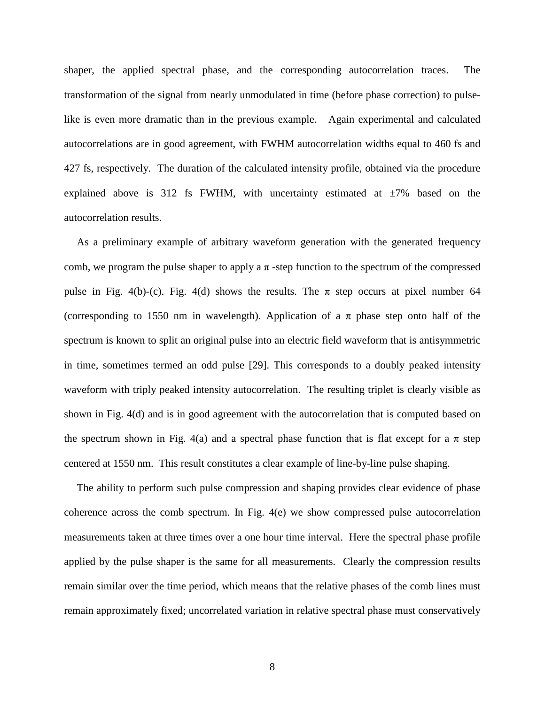shaper, the applied spectral phase, and the corresponding autocorrelation traces. The transformation of the signal from nearly unmodulated in time (before phase correction) to pulselike is even more dramatic than in the previous example. Again experimental and calculated autocorrelations are in good agreement, with FWHM autocorrelation widths equal to 460 fs and 427 fs, respectively. The duration of the calculated intensity profile, obtained via the procedure explained above is 312 fs FWHM, with uncertainty estimated at  $\pm 7\%$  based on the autocorrelation results.

As a preliminary example of arbitrary waveform generation with the generated frequency comb, we program the pulse shaper to apply a  $\pi$ -step function to the spectrum of the compressed pulse in Fig. 4(b)-(c). Fig. 4(d) shows the results. The  $\pi$  step occurs at pixel number 64 (corresponding to 1550 nm in wavelength). Application of a  $\pi$  phase step onto half of the spectrum is known to split an original pulse into an electric field waveform that is antisymmetric in time, sometimes termed an odd pulse [29]. This corresponds to a doubly peaked intensity waveform with triply peaked intensity autocorrelation. The resulting triplet is clearly visible as shown in Fig. 4(d) and is in good agreement with the autocorrelation that is computed based on the spectrum shown in Fig. 4(a) and a spectral phase function that is flat except for a  $\pi$  step centered at 1550 nm. This result constitutes a clear example of line-by-line pulse shaping.

The ability to perform such pulse compression and shaping provides clear evidence of phase coherence across the comb spectrum. In Fig. 4(e) we show compressed pulse autocorrelation measurements taken at three times over a one hour time interval. Here the spectral phase profile applied by the pulse shaper is the same for all measurements. Clearly the compression results remain similar over the time period, which means that the relative phases of the comb lines must remain approximately fixed; uncorrelated variation in relative spectral phase must conservatively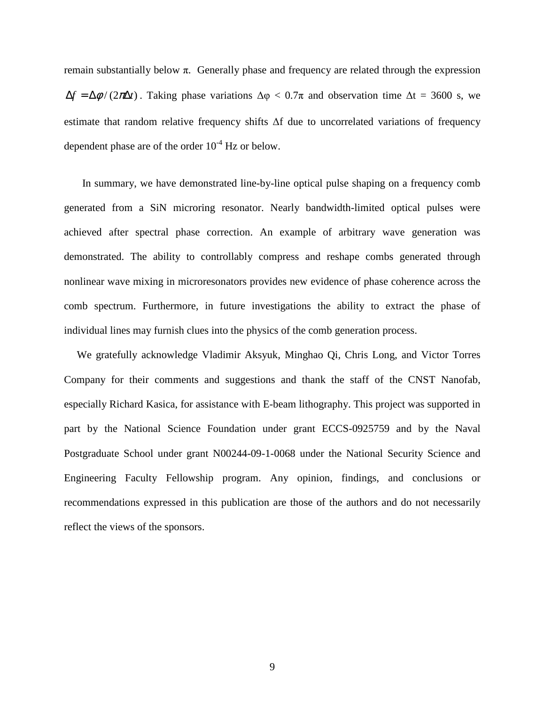remain substantially below π. Generally phase and frequency are related through the expression  $\Delta f = \Delta \phi / (2\pi \Delta t)$ . Taking phase variations  $\Delta \phi < 0.7\pi$  and observation time  $\Delta t = 3600$  s, we estimate that random relative frequency shifts ∆f due to uncorrelated variations of frequency dependent phase are of the order  $10^{-4}$  Hz or below.

 In summary, we have demonstrated line-by-line optical pulse shaping on a frequency comb generated from a SiN microring resonator. Nearly bandwidth-limited optical pulses were achieved after spectral phase correction. An example of arbitrary wave generation was demonstrated. The ability to controllably compress and reshape combs generated through nonlinear wave mixing in microresonators provides new evidence of phase coherence across the comb spectrum. Furthermore, in future investigations the ability to extract the phase of individual lines may furnish clues into the physics of the comb generation process.

We gratefully acknowledge Vladimir Aksyuk, Minghao Qi, Chris Long, and Victor Torres Company for their comments and suggestions and thank the staff of the CNST Nanofab, especially Richard Kasica, for assistance with E-beam lithography. This project was supported in part by the National Science Foundation under grant ECCS-0925759 and by the Naval Postgraduate School under grant N00244-09-1-0068 under the National Security Science and Engineering Faculty Fellowship program. Any opinion, findings, and conclusions or recommendations expressed in this publication are those of the authors and do not necessarily reflect the views of the sponsors.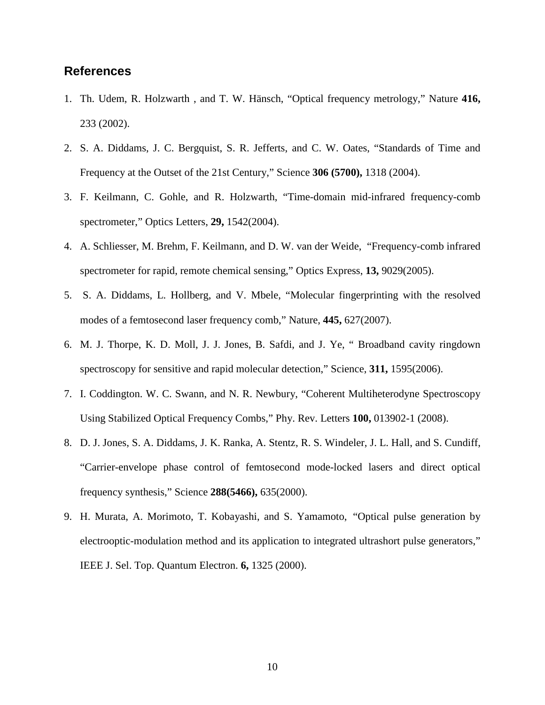## **References**

- 1. Th. Udem, R. Holzwarth , and T. W. Hänsch, "Optical frequency metrology," Nature **416,**  233 (2002).
- 2. S. A. Diddams, J. C. Bergquist, S. R. Jefferts, and C. W. Oates, "Standards of Time and Frequency at the Outset of the 21st Century," Science **306 (5700),** 1318 (2004).
- 3. F. Keilmann, C. Gohle, and R. Holzwarth, "Time-domain mid-infrared frequency-comb spectrometer," Optics Letters, **29,** 1542(2004).
- 4. A. Schliesser, M. Brehm, F. Keilmann, and D. W. van der Weide, "Frequency-comb infrared spectrometer for rapid, remote chemical sensing," Optics Express, **13,** 9029(2005).
- 5. S. A. Diddams, L. Hollberg, and V. Mbele, "Molecular fingerprinting with the resolved modes of a femtosecond laser frequency comb," Nature, **445,** 627(2007).
- 6. M. J. Thorpe, K. D. Moll, J. J. Jones, B. Safdi, and J. Ye, " Broadband cavity ringdown spectroscopy for sensitive and rapid molecular detection," Science, **311,** 1595(2006).
- 7. I. Coddington. W. C. Swann, and N. R. Newbury, "Coherent Multiheterodyne Spectroscopy Using Stabilized Optical Frequency Combs," Phy. Rev. Letters **100,** 013902-1 (2008).
- 8. D. J. Jones, S. A. Diddams, J. K. Ranka, A. Stentz, R. S. Windeler, J. L. Hall, and S. Cundiff, "Carrier-envelope phase control of femtosecond mode-locked lasers and direct optical frequency synthesis," Science **288(5466),** 635(2000).
- 9. H. Murata, A. Morimoto, T. Kobayashi, and S. Yamamoto, "Optical pulse generation by electrooptic-modulation method and its application to integrated ultrashort pulse generators," IEEE J. Sel. Top. Quantum Electron. **6,** 1325 (2000).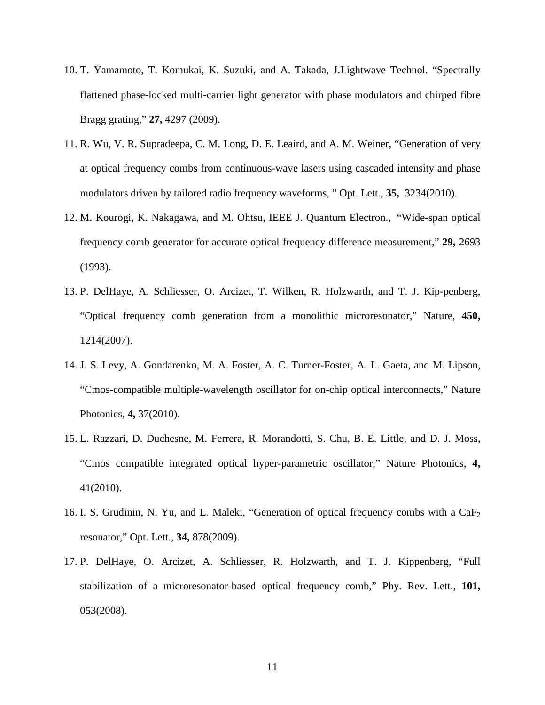- 10. T. Yamamoto, T. Komukai, K. Suzuki, and A. Takada, J.Lightwave Technol. "Spectrally flattened phase-locked multi-carrier light generator with phase modulators and chirped fibre Bragg grating," **27,** 4297 (2009).
- 11. R. Wu, V. R. Supradeepa, C. M. Long, D. E. Leaird, and A. M. Weiner, "Generation of very at optical frequency combs from continuous-wave lasers using cascaded intensity and phase modulators driven by tailored radio frequency waveforms, " Opt. Lett., **35,** 3234(2010).
- 12. M. Kourogi, K. Nakagawa, and M. Ohtsu, IEEE J. Quantum Electron., "Wide-span optical frequency comb generator for accurate optical frequency difference measurement," **29,** 2693 (1993).
- 13. P. DelHaye, A. Schliesser, O. Arcizet, T. Wilken, R. Holzwarth, and T. J. Kip-penberg, "Optical frequency comb generation from a monolithic microresonator," Nature, **450,**  1214(2007).
- 14. J. S. Levy, A. Gondarenko, M. A. Foster, A. C. Turner-Foster, A. L. Gaeta, and M. Lipson, "Cmos-compatible multiple-wavelength oscillator for on-chip optical interconnects," Nature Photonics, **4,** 37(2010).
- 15. L. Razzari, D. Duchesne, M. Ferrera, R. Morandotti, S. Chu, B. E. Little, and D. J. Moss, "Cmos compatible integrated optical hyper-parametric oscillator," Nature Photonics, **4,** 41(2010).
- 16. I. S. Grudinin, N. Yu, and L. Maleki, "Generation of optical frequency combs with a  $CaF<sub>2</sub>$ resonator," Opt. Lett., **34,** 878(2009).
- 17. P. DelHaye, O. Arcizet, A. Schliesser, R. Holzwarth, and T. J. Kippenberg, "Full stabilization of a microresonator-based optical frequency comb," Phy. Rev. Lett., **101,** 053(2008).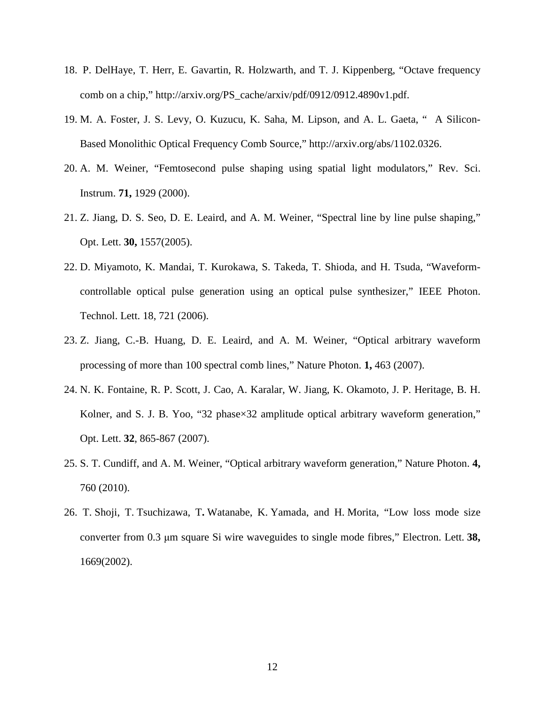- 18. P. DelHaye, T. Herr, E. Gavartin, R. Holzwarth, and T. J. Kippenberg, "Octave frequency comb on a chip," http://arxiv.org/PS\_cache/arxiv/pdf/0912/0912.4890v1.pdf.
- 19. M. A. Foster, J. S. Levy, O. Kuzucu, K. Saha, M. Lipson, and A. L. Gaeta, " A Silicon-Based Monolithic Optical Frequency Comb Source," http://arxiv.org/abs/1102.0326.
- 20. A. M. Weiner, "Femtosecond pulse shaping using spatial light modulators," Rev. Sci. Instrum. **71,** 1929 (2000).
- 21. Z. Jiang, D. S. Seo, D. E. Leaird, and A. M. Weiner, "Spectral line by line pulse shaping," Opt. Lett. **30,** 1557(2005).
- 22. D. Miyamoto, K. Mandai, T. Kurokawa, S. Takeda, T. Shioda, and H. Tsuda, "Waveformcontrollable optical pulse generation using an optical pulse synthesizer," IEEE Photon. Technol. Lett. 18, 721 (2006).
- 23. Z. Jiang, C.-B. Huang, D. E. Leaird, and A. M. Weiner, "Optical arbitrary waveform processing of more than 100 spectral comb lines," Nature Photon. **1,** 463 (2007).
- 24. N. K. Fontaine, R. P. Scott, J. Cao, A. Karalar, W. Jiang, K. Okamoto, J. P. Heritage, B. H. Kolner, and S. J. B. Yoo, "32 phase×32 amplitude optical arbitrary waveform generation," Opt. Lett. **32**, 865-867 (2007).
- 25. S. T. Cundiff, and A. M. Weiner, "Optical arbitrary waveform generation," Nature Photon. **4,** 760 (2010).
- 26. T. Shoji, T. Tsuchizawa, T**.** Watanabe, K. Yamada, and H. Morita, "Low loss mode size converter from 0.3 µm square Si wire waveguides to single mode fibres," Electron. Lett. **38,** 1669(2002).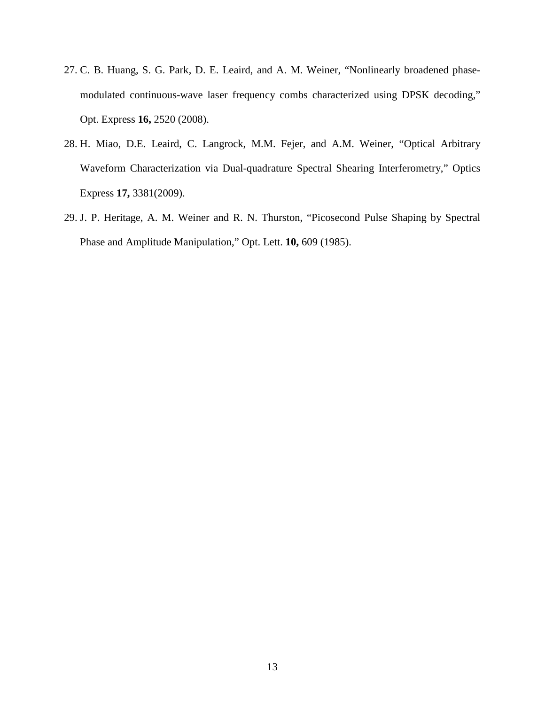- 27. C. B. Huang, S. G. Park, D. E. Leaird, and A. M. Weiner, "Nonlinearly broadened phasemodulated continuous-wave laser frequency combs characterized using DPSK decoding," Opt. Express **16,** 2520 (2008).
- 28. H. Miao, D.E. Leaird, C. Langrock, M.M. Fejer, and A.M. Weiner, "Optical Arbitrary Waveform Characterization via Dual-quadrature Spectral Shearing Interferometry," Optics Express **17,** 3381(2009).
- 29. J. P. Heritage, A. M. Weiner and R. N. Thurston, "Picosecond Pulse Shaping by Spectral Phase and Amplitude Manipulation," Opt. Lett. **10,** 609 (1985).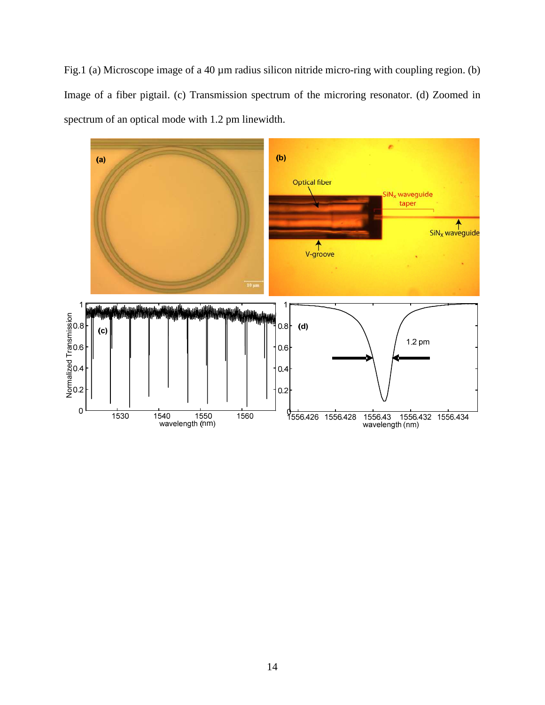Fig.1 (a) Microscope image of a 40  $\mu$ m radius silicon nitride micro-ring with coupling region. (b) Image of a fiber pigtail. (c) Transmission spectrum of the microring resonator. (d) Zoomed in spectrum of an optical mode with 1.2 pm linewidth.

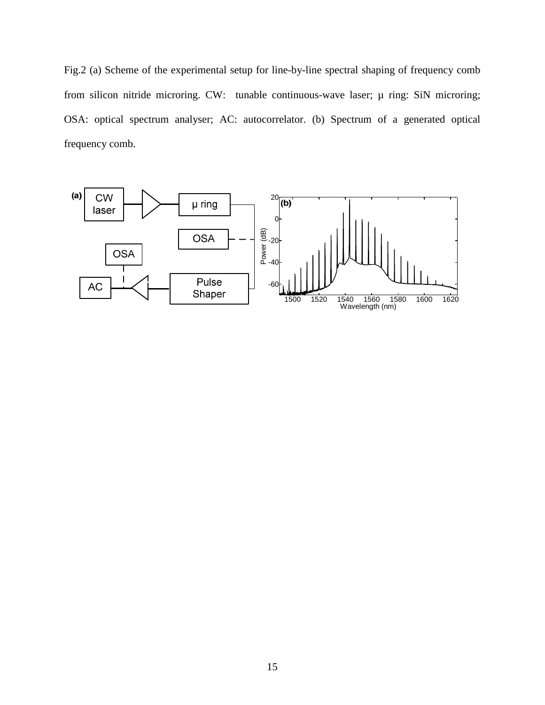Fig.2 (a) Scheme of the experimental setup for line-by-line spectral shaping of frequency comb from silicon nitride microring. CW: tunable continuous-wave laser;  $\mu$  ring: SiN microring; OSA: optical spectrum analyser; AC: autocorrelator. (b) Spectrum of a generated optical frequency comb.

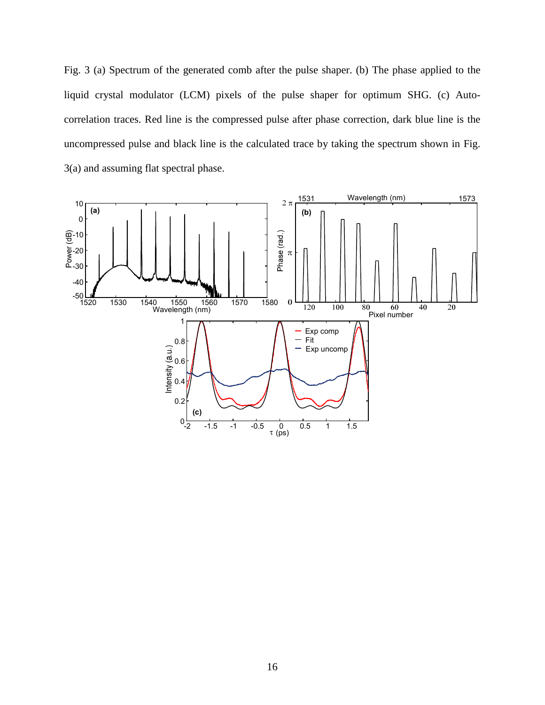Fig. 3 (a) Spectrum of the generated comb after the pulse shaper. (b) The phase applied to the liquid crystal modulator (LCM) pixels of the pulse shaper for optimum SHG. (c) Autocorrelation traces. Red line is the compressed pulse after phase correction, dark blue line is the uncompressed pulse and black line is the calculated trace by taking the spectrum shown in Fig. 3(a) and assuming flat spectral phase.

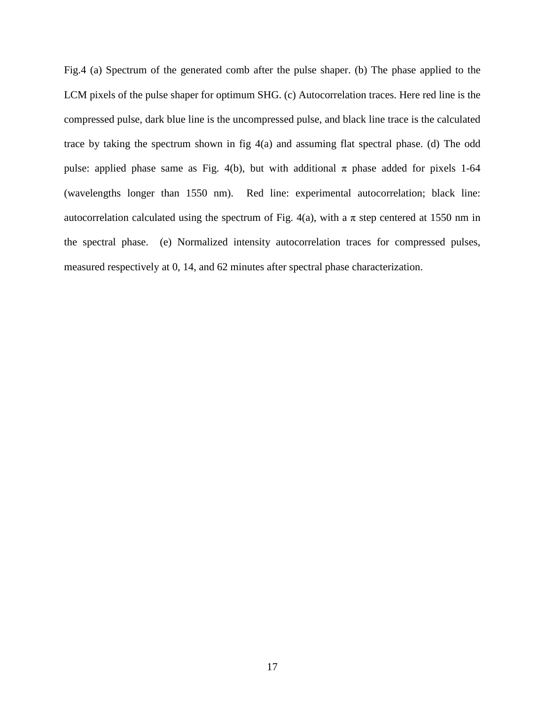Fig.4 (a) Spectrum of the generated comb after the pulse shaper. (b) The phase applied to the LCM pixels of the pulse shaper for optimum SHG. (c) Autocorrelation traces. Here red line is the compressed pulse, dark blue line is the uncompressed pulse, and black line trace is the calculated trace by taking the spectrum shown in fig 4(a) and assuming flat spectral phase. (d) The odd pulse: applied phase same as Fig. 4(b), but with additional  $\pi$  phase added for pixels 1-64 (wavelengths longer than 1550 nm). Red line: experimental autocorrelation; black line: autocorrelation calculated using the spectrum of Fig. 4(a), with a π step centered at 1550 nm in the spectral phase. (e) Normalized intensity autocorrelation traces for compressed pulses, measured respectively at 0, 14, and 62 minutes after spectral phase characterization.